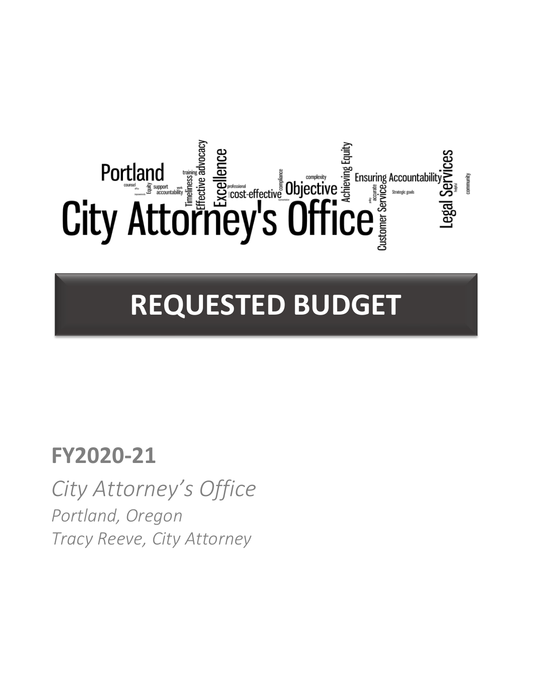# Portland a senior of the senior service of the senior accountability al Servic ommunity

# **REQUESTED BUDGET**

# **FY2020-21**

*City Attorney's Office Portland, Oregon Tracy Reeve, City Attorney*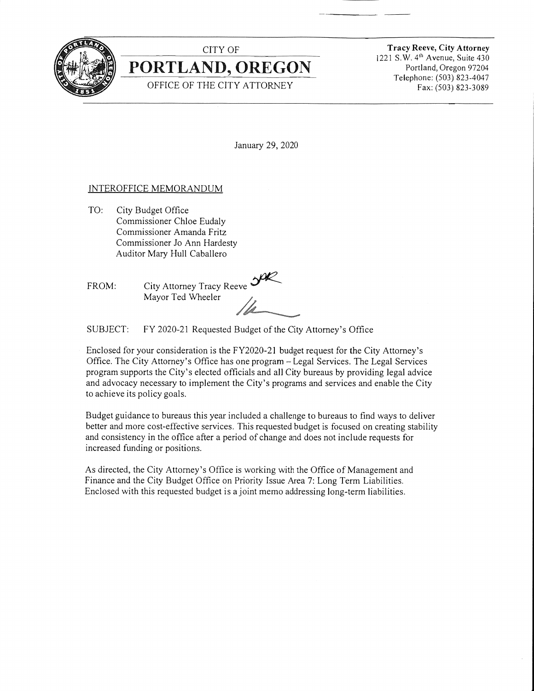

# $PORTLAND, OREGON$ OFFICE OF THE CITY ATTORNEY

CITY OF Tracy Reeve, City Attorney 1221 S.W.  $4<sup>m</sup>$  Avenue, Suite 430 Portland, Oregon 97204 Telephone: (503) 823-4047Fax: (503) 823-3089

January 29, 2020

### INTEROFFICE MEMORANDUM

TO: City Budget Office Commissioner Chloe Eudaly Commissioner Amanda Fritz Commissioner Jo Ann HardestyAuditor Mary Hull Caballero

FROM: City Attorney Tracy Reeve Mayor Ted Wheeler

SUBJECT: FY 2020-21 Requested Budget of the City Attorney's Office

Enclosed for your consideration is the FY2020-21 budget request for the City Attorney's Office. The City Attorney's Office has one program - Legal Services. The Legal Services program supports the City's elected officials and all City bureaus by providing legal advice and advocacy necessary to implement the City's programs and services and enable the Cityto achieve its policy goals.

Budget guidance to bureaus this year included a challenge to bureaus to find ways to deliver better and more cost-effective services. This requested budget is focused on creating stabilityand consistency in the office after a period of change and does not include requests forincreased funding or positions.

As directed, the City Attorney's Office is working with the Office of Management andFinance and the City Budget Office on Priority Issue Area 7: Long Term Liabilities.Enclosed with this requested budget is a joint memo addressing long-term liabilities.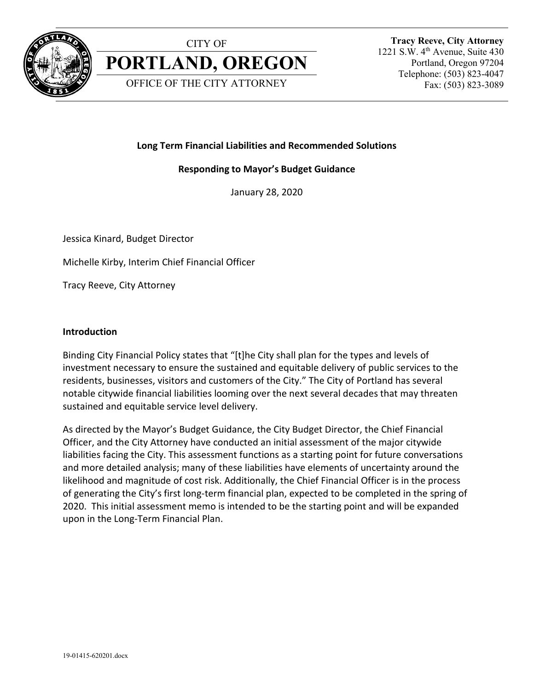

CITY OF

OFFICE OF THE CITY ATTORNEY

**PORTLAND, OREGON**

**Tracy Reeve, City Attorney** 1221 S.W.  $4<sup>th</sup>$  Avenue, Suite 430 Portland, Oregon 97204 Telephone: (503) 823-4047 Fax: (503) 823-3089

### **Long Term Financial Liabilities and Recommended Solutions**

### **Responding to Mayor's Budget Guidance**

January 28, 2020

Jessica Kinard, Budget Director

Michelle Kirby, Interim Chief Financial Officer

Tracy Reeve, City Attorney

### **Introduction**

Binding City Financial Policy states that "[t]he City shall plan for the types and levels of investment necessary to ensure the sustained and equitable delivery of public services to the residents, businesses, visitors and customers of the City." The City of Portland has several notable citywide financial liabilities looming over the next several decades that may threaten sustained and equitable service level delivery.

As directed by the Mayor's Budget Guidance, the City Budget Director, the Chief Financial Officer, and the City Attorney have conducted an initial assessment of the major citywide liabilities facing the City. This assessment functions as a starting point for future conversations and more detailed analysis; many of these liabilities have elements of uncertainty around the likelihood and magnitude of cost risk. Additionally, the Chief Financial Officer is in the process of generating the City's first long-term financial plan, expected to be completed in the spring of 2020. This initial assessment memo is intended to be the starting point and will be expanded upon in the Long-Term Financial Plan.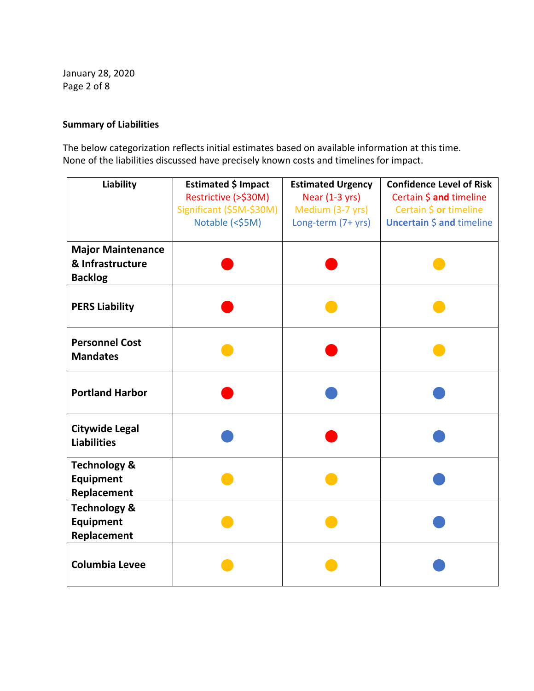January 28, 2020 Page 2 of 8

### **Summary of Liabilities**

The below categorization reflects initial estimates based on available information at this time. None of the liabilities discussed have precisely known costs and timelines for impact.

| Liability                                                      | Estimated \$ Impact<br>Restrictive (>\$30M)<br>Significant (\$5M-\$30M)<br>Notable (<\$5M) | <b>Estimated Urgency</b><br>Near (1-3 yrs)<br>Medium (3-7 yrs)<br>Long-term (7+ yrs) | <b>Confidence Level of Risk</b><br>Certain \$ and timeline<br>Certain \$ or timeline<br>Uncertain \$ and timeline |
|----------------------------------------------------------------|--------------------------------------------------------------------------------------------|--------------------------------------------------------------------------------------|-------------------------------------------------------------------------------------------------------------------|
| <b>Major Maintenance</b><br>& Infrastructure<br><b>Backlog</b> |                                                                                            |                                                                                      |                                                                                                                   |
| <b>PERS Liability</b>                                          |                                                                                            |                                                                                      |                                                                                                                   |
| <b>Personnel Cost</b><br><b>Mandates</b>                       |                                                                                            |                                                                                      |                                                                                                                   |
| <b>Portland Harbor</b>                                         |                                                                                            |                                                                                      |                                                                                                                   |
| <b>Citywide Legal</b><br><b>Liabilities</b>                    |                                                                                            |                                                                                      |                                                                                                                   |
| <b>Technology &amp;</b><br><b>Equipment</b><br>Replacement     |                                                                                            |                                                                                      |                                                                                                                   |
| <b>Technology &amp;</b><br><b>Equipment</b><br>Replacement     |                                                                                            |                                                                                      |                                                                                                                   |
| <b>Columbia Levee</b>                                          |                                                                                            |                                                                                      |                                                                                                                   |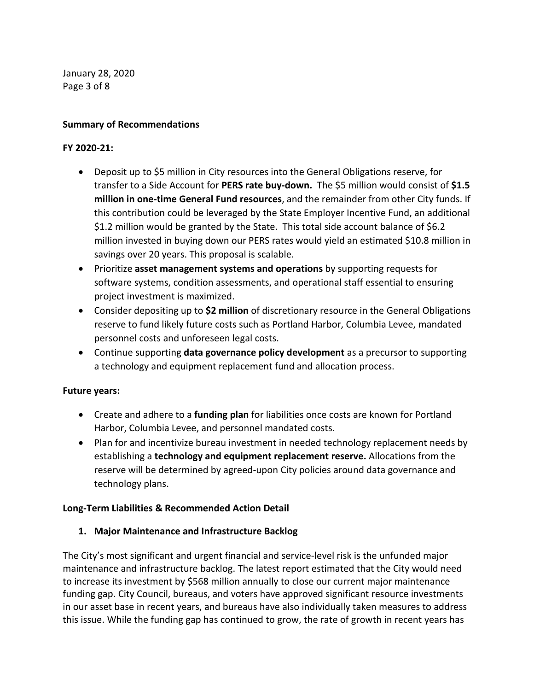January 28, 2020 Page 3 of 8

### **Summary of Recommendations**

### **FY 2020-21:**

- Deposit up to \$5 million in City resources into the General Obligations reserve, for transfer to a Side Account for **PERS rate buy-down.** The \$5 million would consist of **\$1.5 million in one-time General Fund resources**, and the remainder from other City funds. If this contribution could be leveraged by the State Employer Incentive Fund, an additional \$1.2 million would be granted by the State. This total side account balance of \$6.2 million invested in buying down our PERS rates would yield an estimated \$10.8 million in savings over 20 years. This proposal is scalable.
- Prioritize **asset management systems and operations** by supporting requests for software systems, condition assessments, and operational staff essential to ensuring project investment is maximized.
- Consider depositing up to **\$2 million** of discretionary resource in the General Obligations reserve to fund likely future costs such as Portland Harbor, Columbia Levee, mandated personnel costs and unforeseen legal costs.
- Continue supporting **data governance policy development** as a precursor to supporting a technology and equipment replacement fund and allocation process.

### **Future years:**

- Create and adhere to a **funding plan** for liabilities once costs are known for Portland Harbor, Columbia Levee, and personnel mandated costs.
- Plan for and incentivize bureau investment in needed technology replacement needs by establishing a **technology and equipment replacement reserve.** Allocations from the reserve will be determined by agreed-upon City policies around data governance and technology plans.

### **Long-Term Liabilities & Recommended Action Detail**

**1. Major Maintenance and Infrastructure Backlog**

The City's most significant and urgent financial and service-level risk is the unfunded major maintenance and infrastructure backlog. The latest report estimated that the City would need to increase its investment by \$568 million annually to close our current major maintenance funding gap. City Council, bureaus, and voters have approved significant resource investments in our asset base in recent years, and bureaus have also individually taken measures to address this issue. While the funding gap has continued to grow, the rate of growth in recent years has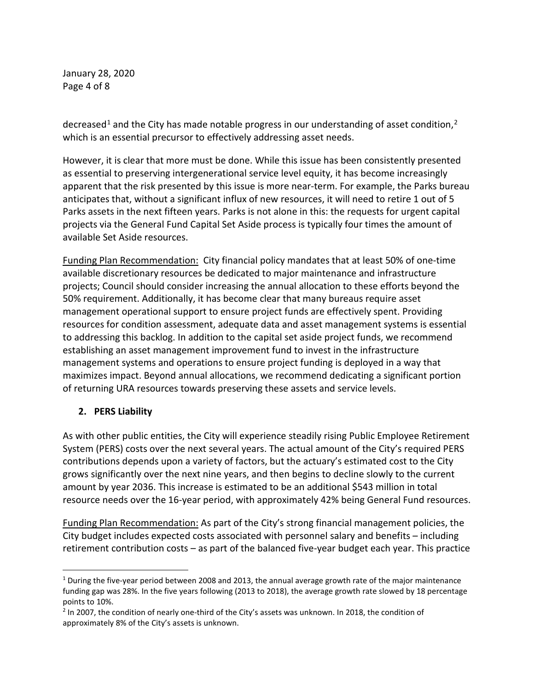January 28, 2020 Page 4 of 8

decreased<sup>[1](#page-5-0)</sup> and the City has made notable progress in our understanding of asset condition,<sup>[2](#page-5-1)</sup> which is an essential precursor to effectively addressing asset needs.

However, it is clear that more must be done. While this issue has been consistently presented as essential to preserving intergenerational service level equity, it has become increasingly apparent that the risk presented by this issue is more near-term. For example, the Parks bureau anticipates that, without a significant influx of new resources, it will need to retire 1 out of 5 Parks assets in the next fifteen years. Parks is not alone in this: the requests for urgent capital projects via the General Fund Capital Set Aside process is typically four times the amount of available Set Aside resources.

Funding Plan Recommendation: City financial policy mandates that at least 50% of one-time available discretionary resources be dedicated to major maintenance and infrastructure projects; Council should consider increasing the annual allocation to these efforts beyond the 50% requirement. Additionally, it has become clear that many bureaus require asset management operational support to ensure project funds are effectively spent. Providing resources for condition assessment, adequate data and asset management systems is essential to addressing this backlog. In addition to the capital set aside project funds, we recommend establishing an asset management improvement fund to invest in the infrastructure management systems and operations to ensure project funding is deployed in a way that maximizes impact. Beyond annual allocations, we recommend dedicating a significant portion of returning URA resources towards preserving these assets and service levels.

### **2. PERS Liability**

As with other public entities, the City will experience steadily rising Public Employee Retirement System (PERS) costs over the next several years. The actual amount of the City's required PERS contributions depends upon a variety of factors, but the actuary's estimated cost to the City grows significantly over the next nine years, and then begins to decline slowly to the current amount by year 2036. This increase is estimated to be an additional \$543 million in total resource needs over the 16-year period, with approximately 42% being General Fund resources.

Funding Plan Recommendation: As part of the City's strong financial management policies, the City budget includes expected costs associated with personnel salary and benefits – including retirement contribution costs – as part of the balanced five-year budget each year. This practice

<span id="page-5-0"></span> $1$  During the five-year period between 2008 and 2013, the annual average growth rate of the major maintenance funding gap was 28%. In the five years following (2013 to 2018), the average growth rate slowed by 18 percentage points to 10%.

<span id="page-5-1"></span><sup>&</sup>lt;sup>2</sup> In 2007, the condition of nearly one-third of the City's assets was unknown. In 2018, the condition of approximately 8% of the City's assets is unknown.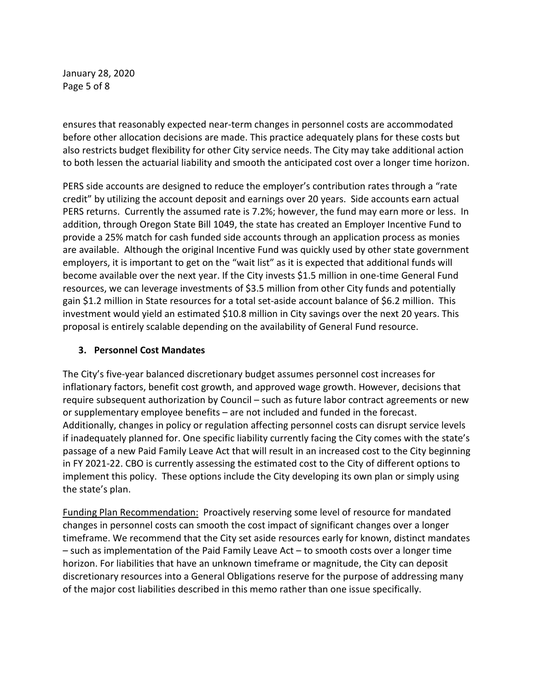January 28, 2020 Page 5 of 8

ensures that reasonably expected near-term changes in personnel costs are accommodated before other allocation decisions are made. This practice adequately plans for these costs but also restricts budget flexibility for other City service needs. The City may take additional action to both lessen the actuarial liability and smooth the anticipated cost over a longer time horizon.

PERS side accounts are designed to reduce the employer's contribution rates through a "rate credit" by utilizing the account deposit and earnings over 20 years. Side accounts earn actual PERS returns. Currently the assumed rate is 7.2%; however, the fund may earn more or less. In addition, through Oregon State Bill 1049, the state has created an Employer Incentive Fund to provide a 25% match for cash funded side accounts through an application process as monies are available. Although the original Incentive Fund was quickly used by other state government employers, it is important to get on the "wait list" as it is expected that additional funds will become available over the next year. If the City invests \$1.5 million in one-time General Fund resources, we can leverage investments of \$3.5 million from other City funds and potentially gain \$1.2 million in State resources for a total set-aside account balance of \$6.2 million. This investment would yield an estimated \$10.8 million in City savings over the next 20 years. This proposal is entirely scalable depending on the availability of General Fund resource.

### **3. Personnel Cost Mandates**

The City's five-year balanced discretionary budget assumes personnel cost increases for inflationary factors, benefit cost growth, and approved wage growth. However, decisions that require subsequent authorization by Council – such as future labor contract agreements or new or supplementary employee benefits – are not included and funded in the forecast. Additionally, changes in policy or regulation affecting personnel costs can disrupt service levels if inadequately planned for. One specific liability currently facing the City comes with the state's passage of a new Paid Family Leave Act that will result in an increased cost to the City beginning in FY 2021-22. CBO is currently assessing the estimated cost to the City of different options to implement this policy. These options include the City developing its own plan or simply using the state's plan.

Funding Plan Recommendation: Proactively reserving some level of resource for mandated changes in personnel costs can smooth the cost impact of significant changes over a longer timeframe. We recommend that the City set aside resources early for known, distinct mandates – such as implementation of the Paid Family Leave Act – to smooth costs over a longer time horizon. For liabilities that have an unknown timeframe or magnitude, the City can deposit discretionary resources into a General Obligations reserve for the purpose of addressing many of the major cost liabilities described in this memo rather than one issue specifically.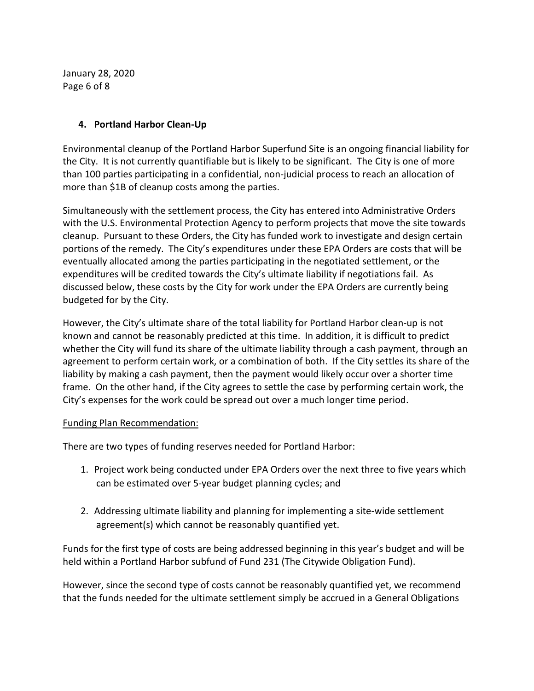January 28, 2020 Page 6 of 8

### **4. Portland Harbor Clean-Up**

Environmental cleanup of the Portland Harbor Superfund Site is an ongoing financial liability for the City. It is not currently quantifiable but is likely to be significant. The City is one of more than 100 parties participating in a confidential, non-judicial process to reach an allocation of more than \$1B of cleanup costs among the parties.

Simultaneously with the settlement process, the City has entered into Administrative Orders with the U.S. Environmental Protection Agency to perform projects that move the site towards cleanup. Pursuant to these Orders, the City has funded work to investigate and design certain portions of the remedy. The City's expenditures under these EPA Orders are costs that will be eventually allocated among the parties participating in the negotiated settlement, or the expenditures will be credited towards the City's ultimate liability if negotiations fail. As discussed below, these costs by the City for work under the EPA Orders are currently being budgeted for by the City.

However, the City's ultimate share of the total liability for Portland Harbor clean-up is not known and cannot be reasonably predicted at this time. In addition, it is difficult to predict whether the City will fund its share of the ultimate liability through a cash payment, through an agreement to perform certain work, or a combination of both. If the City settles its share of the liability by making a cash payment, then the payment would likely occur over a shorter time frame. On the other hand, if the City agrees to settle the case by performing certain work, the City's expenses for the work could be spread out over a much longer time period.

### Funding Plan Recommendation:

There are two types of funding reserves needed for Portland Harbor:

- 1. Project work being conducted under EPA Orders over the next three to five years which can be estimated over 5-year budget planning cycles; and
- 2. Addressing ultimate liability and planning for implementing a site-wide settlement agreement(s) which cannot be reasonably quantified yet.

Funds for the first type of costs are being addressed beginning in this year's budget and will be held within a Portland Harbor subfund of Fund 231 (The Citywide Obligation Fund).

However, since the second type of costs cannot be reasonably quantified yet, we recommend that the funds needed for the ultimate settlement simply be accrued in a General Obligations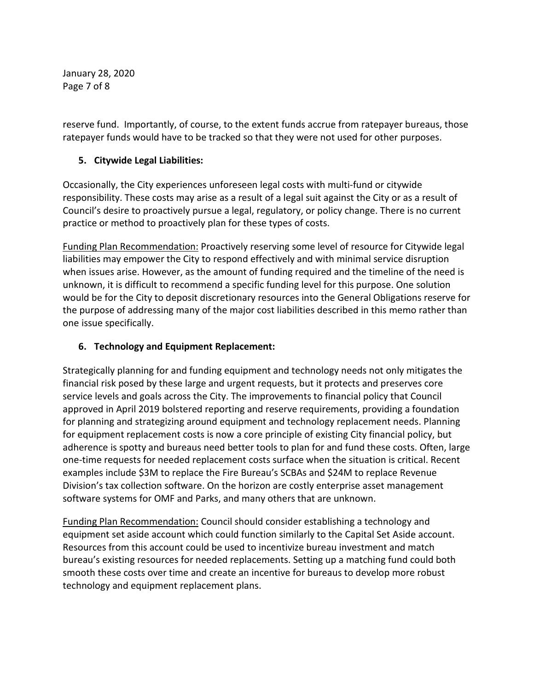January 28, 2020 Page 7 of 8

reserve fund. Importantly, of course, to the extent funds accrue from ratepayer bureaus, those ratepayer funds would have to be tracked so that they were not used for other purposes.

### **5. Citywide Legal Liabilities:**

Occasionally, the City experiences unforeseen legal costs with multi-fund or citywide responsibility. These costs may arise as a result of a legal suit against the City or as a result of Council's desire to proactively pursue a legal, regulatory, or policy change. There is no current practice or method to proactively plan for these types of costs.

Funding Plan Recommendation: Proactively reserving some level of resource for Citywide legal liabilities may empower the City to respond effectively and with minimal service disruption when issues arise. However, as the amount of funding required and the timeline of the need is unknown, it is difficult to recommend a specific funding level for this purpose. One solution would be for the City to deposit discretionary resources into the General Obligations reserve for the purpose of addressing many of the major cost liabilities described in this memo rather than one issue specifically.

### **6. Technology and Equipment Replacement:**

Strategically planning for and funding equipment and technology needs not only mitigates the financial risk posed by these large and urgent requests, but it protects and preserves core service levels and goals across the City. The improvements to financial policy that Council approved in April 2019 bolstered reporting and reserve requirements, providing a foundation for planning and strategizing around equipment and technology replacement needs. Planning for equipment replacement costs is now a core principle of existing City financial policy, but adherence is spotty and bureaus need better tools to plan for and fund these costs. Often, large one-time requests for needed replacement costs surface when the situation is critical. Recent examples include \$3M to replace the Fire Bureau's SCBAs and \$24M to replace Revenue Division's tax collection software. On the horizon are costly enterprise asset management software systems for OMF and Parks, and many others that are unknown.

Funding Plan Recommendation: Council should consider establishing a technology and equipment set aside account which could function similarly to the Capital Set Aside account. Resources from this account could be used to incentivize bureau investment and match bureau's existing resources for needed replacements. Setting up a matching fund could both smooth these costs over time and create an incentive for bureaus to develop more robust technology and equipment replacement plans.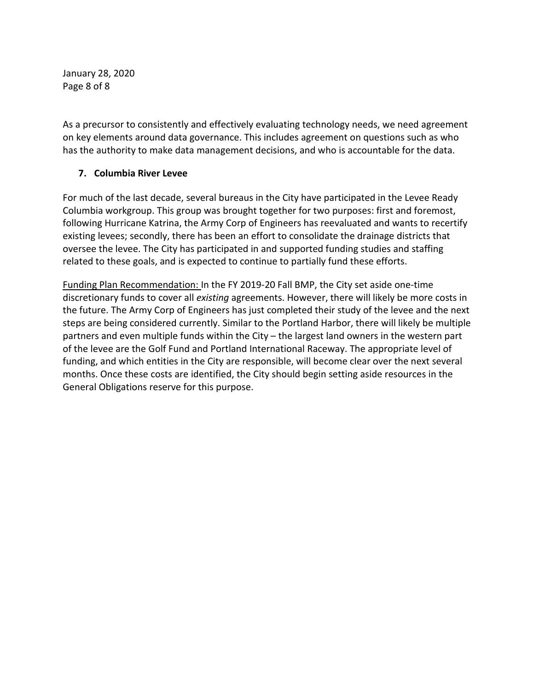January 28, 2020 Page 8 of 8

As a precursor to consistently and effectively evaluating technology needs, we need agreement on key elements around data governance. This includes agreement on questions such as who has the authority to make data management decisions, and who is accountable for the data.

### **7. Columbia River Levee**

For much of the last decade, several bureaus in the City have participated in the Levee Ready Columbia workgroup. This group was brought together for two purposes: first and foremost, following Hurricane Katrina, the Army Corp of Engineers has reevaluated and wants to recertify existing levees; secondly, there has been an effort to consolidate the drainage districts that oversee the levee. The City has participated in and supported funding studies and staffing related to these goals, and is expected to continue to partially fund these efforts.

Funding Plan Recommendation: In the FY 2019-20 Fall BMP, the City set aside one-time discretionary funds to cover all *existing* agreements. However, there will likely be more costs in the future. The Army Corp of Engineers has just completed their study of the levee and the next steps are being considered currently. Similar to the Portland Harbor, there will likely be multiple partners and even multiple funds within the City – the largest land owners in the western part of the levee are the Golf Fund and Portland International Raceway. The appropriate level of funding, and which entities in the City are responsible, will become clear over the next several months. Once these costs are identified, the City should begin setting aside resources in the General Obligations reserve for this purpose.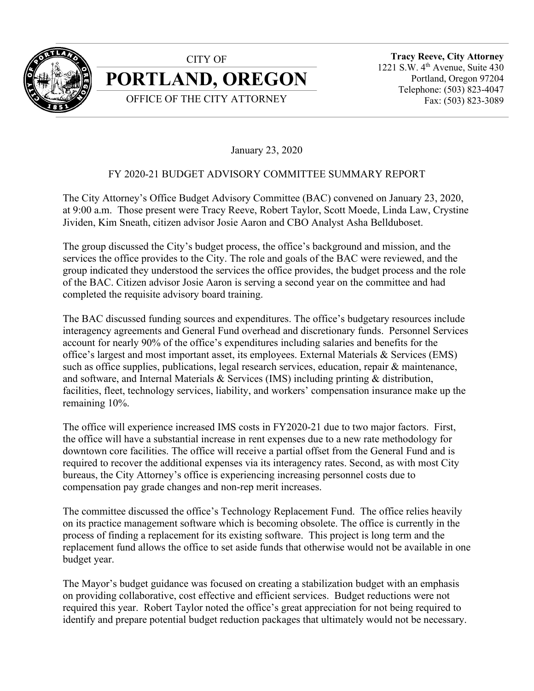

# CITY OF **PORTLAND, OREGON** OFFICE OF THE CITY ATTORNEY

**Tracy Reeve, City Attorney** 1221 S.W. 4<sup>th</sup> Avenue, Suite 430 Portland, Oregon 97204 Telephone: (503) 823-4047 Fax: (503) 823-3089

January 23, 2020

### FY 2020-21 BUDGET ADVISORY COMMITTEE SUMMARY REPORT

The City Attorney's Office Budget Advisory Committee (BAC) convened on January 23, 2020, at 9:00 a.m. Those present were Tracy Reeve, Robert Taylor, Scott Moede, Linda Law, Crystine Jividen, Kim Sneath, citizen advisor Josie Aaron and CBO Analyst Asha Bellduboset.

The group discussed the City's budget process, the office's background and mission, and the services the office provides to the City. The role and goals of the BAC were reviewed, and the group indicated they understood the services the office provides, the budget process and the role of the BAC. Citizen advisor Josie Aaron is serving a second year on the committee and had completed the requisite advisory board training.

The BAC discussed funding sources and expenditures. The office's budgetary resources include interagency agreements and General Fund overhead and discretionary funds. Personnel Services account for nearly 90% of the office's expenditures including salaries and benefits for the office's largest and most important asset, its employees. External Materials & Services (EMS) such as office supplies, publications, legal research services, education, repair & maintenance, and software, and Internal Materials & Services (IMS) including printing & distribution, facilities, fleet, technology services, liability, and workers' compensation insurance make up the remaining 10%.

The office will experience increased IMS costs in FY2020-21 due to two major factors. First, the office will have a substantial increase in rent expenses due to a new rate methodology for downtown core facilities. The office will receive a partial offset from the General Fund and is required to recover the additional expenses via its interagency rates. Second, as with most City bureaus, the City Attorney's office is experiencing increasing personnel costs due to compensation pay grade changes and non-rep merit increases.

The committee discussed the office's Technology Replacement Fund. The office relies heavily on its practice management software which is becoming obsolete. The office is currently in the process of finding a replacement for its existing software. This project is long term and the replacement fund allows the office to set aside funds that otherwise would not be available in one budget year.

The Mayor's budget guidance was focused on creating a stabilization budget with an emphasis on providing collaborative, cost effective and efficient services. Budget reductions were not required this year. Robert Taylor noted the office's great appreciation for not being required to identify and prepare potential budget reduction packages that ultimately would not be necessary.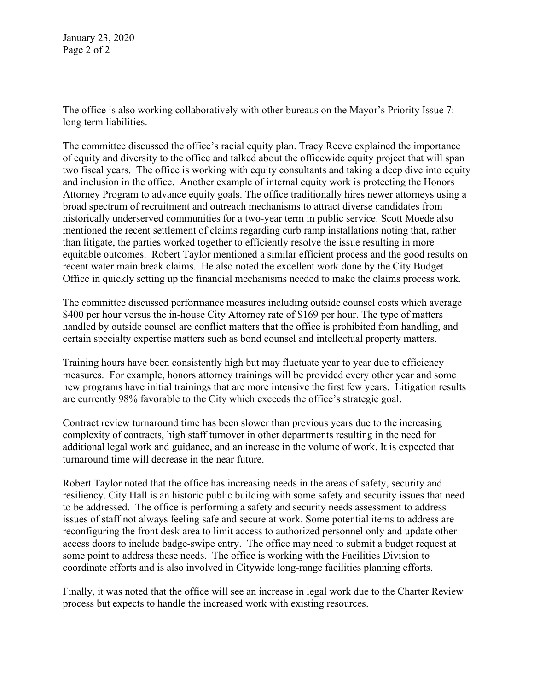January 23, 2020 Page 2 of 2

The office is also working collaboratively with other bureaus on the Mayor's Priority Issue 7: long term liabilities.

The committee discussed the office's racial equity plan. Tracy Reeve explained the importance of equity and diversity to the office and talked about the officewide equity project that will span two fiscal years. The office is working with equity consultants and taking a deep dive into equity and inclusion in the office. Another example of internal equity work is protecting the Honors Attorney Program to advance equity goals. The office traditionally hires newer attorneys using a broad spectrum of recruitment and outreach mechanisms to attract diverse candidates from historically underserved communities for a two-year term in public service. Scott Moede also mentioned the recent settlement of claims regarding curb ramp installations noting that, rather than litigate, the parties worked together to efficiently resolve the issue resulting in more equitable outcomes. Robert Taylor mentioned a similar efficient process and the good results on recent water main break claims. He also noted the excellent work done by the City Budget Office in quickly setting up the financial mechanisms needed to make the claims process work.

The committee discussed performance measures including outside counsel costs which average \$400 per hour versus the in-house City Attorney rate of \$169 per hour. The type of matters handled by outside counsel are conflict matters that the office is prohibited from handling, and certain specialty expertise matters such as bond counsel and intellectual property matters.

Training hours have been consistently high but may fluctuate year to year due to efficiency measures. For example, honors attorney trainings will be provided every other year and some new programs have initial trainings that are more intensive the first few years. Litigation results are currently 98% favorable to the City which exceeds the office's strategic goal.

Contract review turnaround time has been slower than previous years due to the increasing complexity of contracts, high staff turnover in other departments resulting in the need for additional legal work and guidance, and an increase in the volume of work. It is expected that turnaround time will decrease in the near future.

Robert Taylor noted that the office has increasing needs in the areas of safety, security and resiliency. City Hall is an historic public building with some safety and security issues that need to be addressed. The office is performing a safety and security needs assessment to address issues of staff not always feeling safe and secure at work. Some potential items to address are reconfiguring the front desk area to limit access to authorized personnel only and update other access doors to include badge-swipe entry. The office may need to submit a budget request at some point to address these needs. The office is working with the Facilities Division to coordinate efforts and is also involved in Citywide long-range facilities planning efforts.

Finally, it was noted that the office will see an increase in legal work due to the Charter Review process but expects to handle the increased work with existing resources.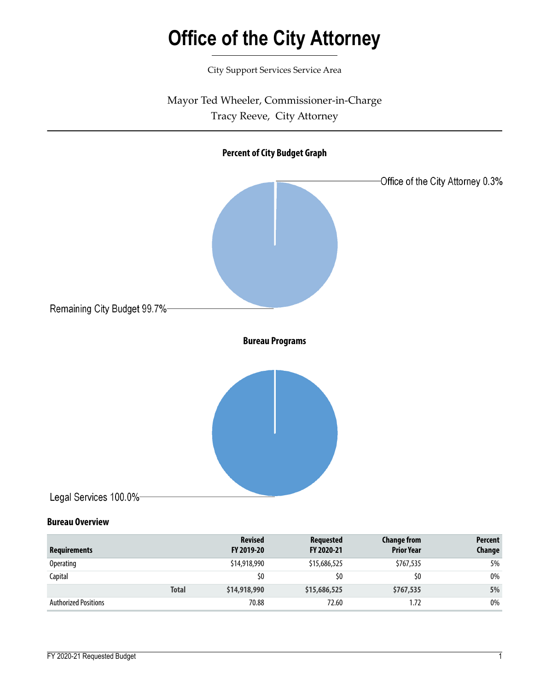# **Office of the City Attorney**

City Support Services Service Area

Mayor Ted Wheeler, Commissioner-in-Charge Tracy Reeve, City Attorney



### **Bureau Overview**

| <b>Requirements</b>         |              | <b>Revised</b><br>FY 2019-20 | <b>Requested</b><br>FY 2020-21 | <b>Change from</b><br><b>Prior Year</b> | <b>Percent</b><br>Change |
|-----------------------------|--------------|------------------------------|--------------------------------|-----------------------------------------|--------------------------|
| <b>Operating</b>            |              | \$14,918,990                 | \$15,686,525                   | \$767,535                               | 5%                       |
| Capital                     |              | \$0                          | \$0                            | \$0                                     | 0%                       |
|                             | <b>Total</b> | \$14,918,990                 | \$15,686,525                   | \$767,535                               | 5%                       |
| <b>Authorized Positions</b> |              | 70.88                        | 72.60                          | 1.72                                    | 0%                       |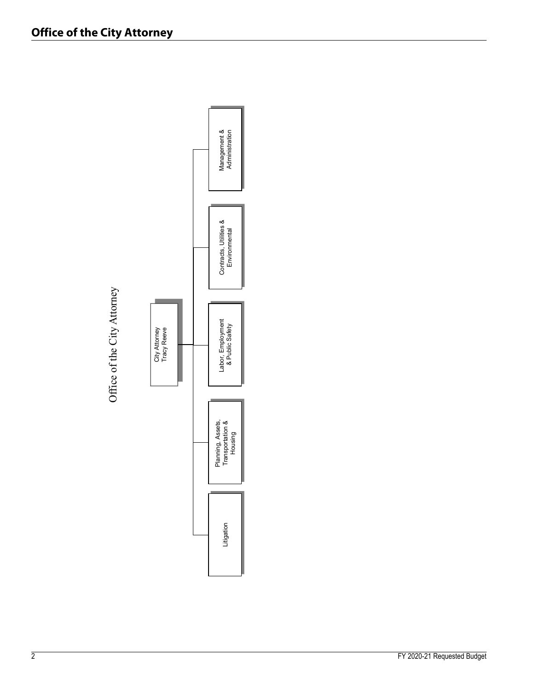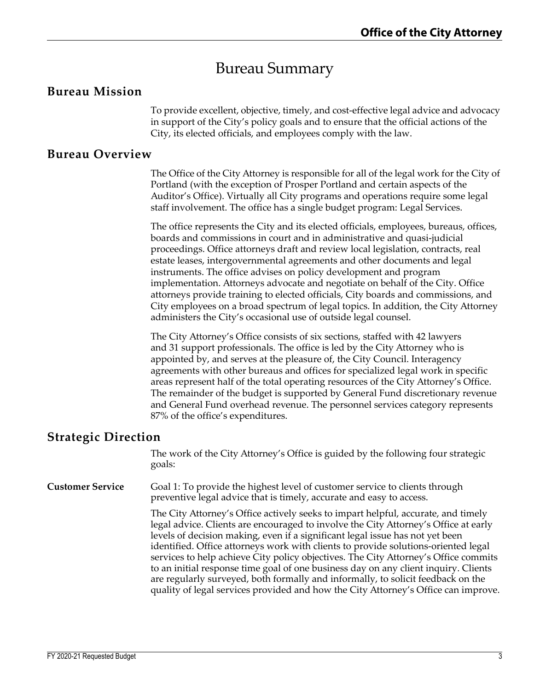# Bureau Summary

### **Bureau Mission**

To provide excellent, objective, timely, and cost-effective legal advice and advocacy in support of the City's policy goals and to ensure that the official actions of the City, its elected officials, and employees comply with the law.

### **Bureau Overview**

The Office of the City Attorney is responsible for all of the legal work for the City of Portland (with the exception of Prosper Portland and certain aspects of the Auditor's Office). Virtually all City programs and operations require some legal staff involvement. The office has a single budget program: Legal Services.

The office represents the City and its elected officials, employees, bureaus, offices, boards and commissions in court and in administrative and quasi-judicial proceedings. Office attorneys draft and review local legislation, contracts, real estate leases, intergovernmental agreements and other documents and legal instruments. The office advises on policy development and program implementation. Attorneys advocate and negotiate on behalf of the City. Office attorneys provide training to elected officials, City boards and commissions, and City employees on a broad spectrum of legal topics. In addition, the City Attorney administers the City's occasional use of outside legal counsel.

The City Attorney's Office consists of six sections, staffed with 42 lawyers and 31 support professionals. The office is led by the City Attorney who is appointed by, and serves at the pleasure of, the City Council. Interagency agreements with other bureaus and offices for specialized legal work in specific areas represent half of the total operating resources of the City Attorney's Office. The remainder of the budget is supported by General Fund discretionary revenue and General Fund overhead revenue. The personnel services category represents 87% of the office's expenditures.

# **Strategic Direction**

The work of the City Attorney's Office is guided by the following four strategic goals:

**Customer Service** Goal 1: To provide the highest level of customer service to clients through preventive legal advice that is timely, accurate and easy to access.

> The City Attorney's Office actively seeks to impart helpful, accurate, and timely legal advice. Clients are encouraged to involve the City Attorney's Office at early levels of decision making, even if a significant legal issue has not yet been identified. Office attorneys work with clients to provide solutions-oriented legal services to help achieve City policy objectives. The City Attorney's Office commits to an initial response time goal of one business day on any client inquiry. Clients are regularly surveyed, both formally and informally, to solicit feedback on the quality of legal services provided and how the City Attorney's Office can improve.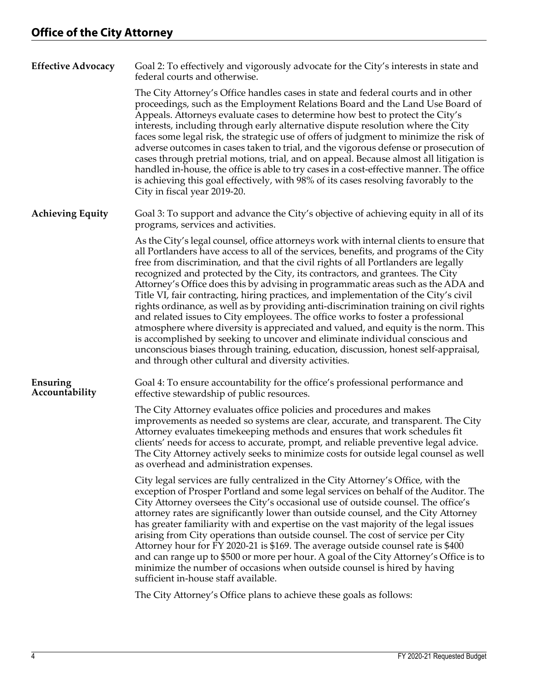| Goal 2: To effectively and vigorously advocate for the City's interests in state and<br>federal courts and otherwise.                                                                                                                                                                                                                                                                                                                                                                                                                                                                                                                                                                                                                                                                                                                                                                                                                                                                                                                  |
|----------------------------------------------------------------------------------------------------------------------------------------------------------------------------------------------------------------------------------------------------------------------------------------------------------------------------------------------------------------------------------------------------------------------------------------------------------------------------------------------------------------------------------------------------------------------------------------------------------------------------------------------------------------------------------------------------------------------------------------------------------------------------------------------------------------------------------------------------------------------------------------------------------------------------------------------------------------------------------------------------------------------------------------|
| The City Attorney's Office handles cases in state and federal courts and in other<br>proceedings, such as the Employment Relations Board and the Land Use Board of<br>Appeals. Attorneys evaluate cases to determine how best to protect the City's<br>interests, including through early alternative dispute resolution where the City<br>faces some legal risk, the strategic use of offers of judgment to minimize the risk of<br>adverse outcomes in cases taken to trial, and the vigorous defense or prosecution of<br>cases through pretrial motions, trial, and on appeal. Because almost all litigation is<br>handled in-house, the office is able to try cases in a cost-effective manner. The office<br>is achieving this goal effectively, with 98% of its cases resolving favorably to the<br>City in fiscal year 2019-20.                                                                                                                                                                                                |
| Goal 3: To support and advance the City's objective of achieving equity in all of its<br>programs, services and activities.                                                                                                                                                                                                                                                                                                                                                                                                                                                                                                                                                                                                                                                                                                                                                                                                                                                                                                            |
| As the City's legal counsel, office attorneys work with internal clients to ensure that<br>all Portlanders have access to all of the services, benefits, and programs of the City<br>free from discrimination, and that the civil rights of all Portlanders are legally<br>recognized and protected by the City, its contractors, and grantees. The City<br>Attorney's Office does this by advising in programmatic areas such as the ADA and<br>Title VI, fair contracting, hiring practices, and implementation of the City's civil<br>rights ordinance, as well as by providing anti-discrimination training on civil rights<br>and related issues to City employees. The office works to foster a professional<br>atmosphere where diversity is appreciated and valued, and equity is the norm. This<br>is accomplished by seeking to uncover and eliminate individual conscious and<br>unconscious biases through training, education, discussion, honest self-appraisal,<br>and through other cultural and diversity activities. |
| Goal 4: To ensure accountability for the office's professional performance and<br>effective stewardship of public resources.                                                                                                                                                                                                                                                                                                                                                                                                                                                                                                                                                                                                                                                                                                                                                                                                                                                                                                           |
| The City Attorney evaluates office policies and procedures and makes<br>improvements as needed so systems are clear, accurate, and transparent. The City<br>Attorney evaluates timekeeping methods and ensures that work schedules fit<br>clients' needs for access to accurate, prompt, and reliable preventive legal advice.<br>The City Attorney actively seeks to minimize costs for outside legal counsel as well<br>as overhead and administration expenses.                                                                                                                                                                                                                                                                                                                                                                                                                                                                                                                                                                     |
| City legal services are fully centralized in the City Attorney's Office, with the<br>exception of Prosper Portland and some legal services on behalf of the Auditor. The<br>City Attorney oversees the City's occasional use of outside counsel. The office's<br>attorney rates are significantly lower than outside counsel, and the City Attorney<br>has greater familiarity with and expertise on the vast majority of the legal issues<br>arising from City operations than outside counsel. The cost of service per City<br>Attorney hour for FY 2020-21 is \$169. The average outside counsel rate is \$400<br>and can range up to \$500 or more per hour. A goal of the City Attorney's Office is to<br>minimize the number of occasions when outside counsel is hired by having<br>sufficient in-house staff available.                                                                                                                                                                                                        |
|                                                                                                                                                                                                                                                                                                                                                                                                                                                                                                                                                                                                                                                                                                                                                                                                                                                                                                                                                                                                                                        |

The City Attorney's Office plans to achieve these goals as follows: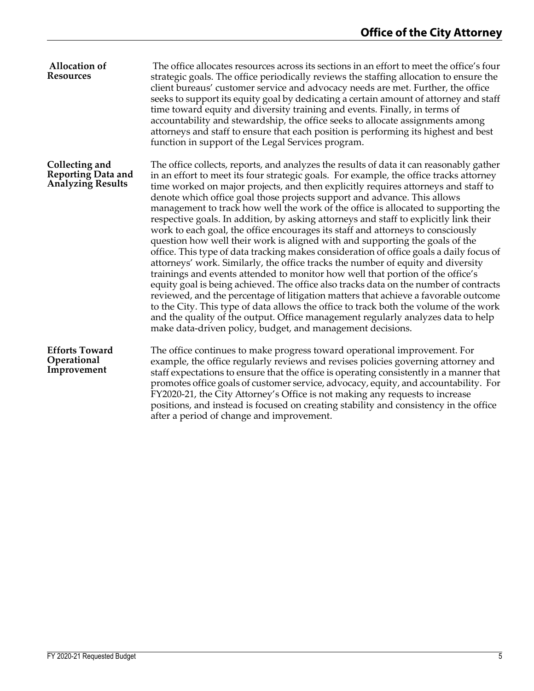| Allocation of<br><b>Resources</b>                                       | The office allocates resources across its sections in an effort to meet the office's four<br>strategic goals. The office periodically reviews the staffing allocation to ensure the<br>client bureaus' customer service and advocacy needs are met. Further, the office<br>seeks to support its equity goal by dedicating a certain amount of attorney and staff<br>time toward equity and diversity training and events. Finally, in terms of<br>accountability and stewardship, the office seeks to allocate assignments among<br>attorneys and staff to ensure that each position is performing its highest and best<br>function in support of the Legal Services program.                                                                                                                                                                                                                                                                                                                                                                                                                                                                                                                                                                                                                                                                                                                     |
|-------------------------------------------------------------------------|---------------------------------------------------------------------------------------------------------------------------------------------------------------------------------------------------------------------------------------------------------------------------------------------------------------------------------------------------------------------------------------------------------------------------------------------------------------------------------------------------------------------------------------------------------------------------------------------------------------------------------------------------------------------------------------------------------------------------------------------------------------------------------------------------------------------------------------------------------------------------------------------------------------------------------------------------------------------------------------------------------------------------------------------------------------------------------------------------------------------------------------------------------------------------------------------------------------------------------------------------------------------------------------------------------------------------------------------------------------------------------------------------|
| Collecting and<br><b>Reporting Data and</b><br><b>Analyzing Results</b> | The office collects, reports, and analyzes the results of data it can reasonably gather<br>in an effort to meet its four strategic goals. For example, the office tracks attorney<br>time worked on major projects, and then explicitly requires attorneys and staff to<br>denote which office goal those projects support and advance. This allows<br>management to track how well the work of the office is allocated to supporting the<br>respective goals. In addition, by asking attorneys and staff to explicitly link their<br>work to each goal, the office encourages its staff and attorneys to consciously<br>question how well their work is aligned with and supporting the goals of the<br>office. This type of data tracking makes consideration of office goals a daily focus of<br>attorneys' work. Similarly, the office tracks the number of equity and diversity<br>trainings and events attended to monitor how well that portion of the office's<br>equity goal is being achieved. The office also tracks data on the number of contracts<br>reviewed, and the percentage of litigation matters that achieve a favorable outcome<br>to the City. This type of data allows the office to track both the volume of the work<br>and the quality of the output. Office management regularly analyzes data to help<br>make data-driven policy, budget, and management decisions. |
| <b>Efforts Toward</b><br>Operational<br>Improvement                     | The office continues to make progress toward operational improvement. For<br>example, the office regularly reviews and revises policies governing attorney and<br>staff expectations to ensure that the office is operating consistently in a manner that<br>promotes office goals of customer service, advocacy, equity, and accountability. For<br>FY2020-21, the City Attorney's Office is not making any requests to increase<br>positions, and instead is focused on creating stability and consistency in the office<br>after a period of change and improvement.                                                                                                                                                                                                                                                                                                                                                                                                                                                                                                                                                                                                                                                                                                                                                                                                                           |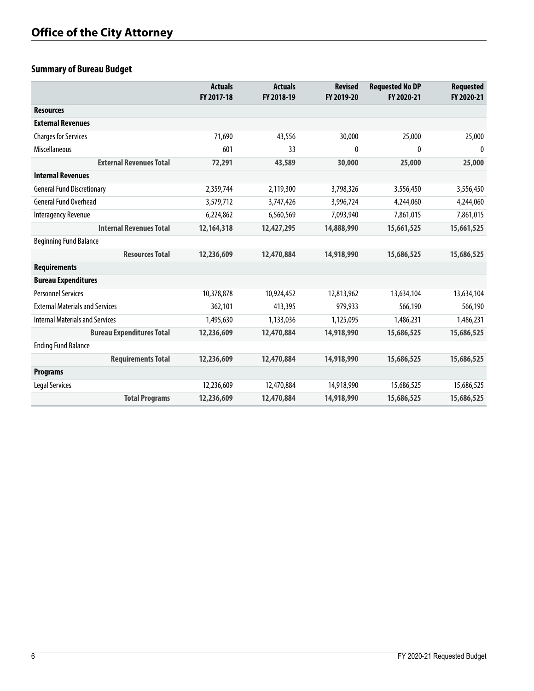# **Summary of Bureau Budget**

|                                        | <b>Actuals</b><br>FY 2017-18 | <b>Actuals</b><br>FY 2018-19 | <b>Revised</b><br>FY 2019-20 | <b>Requested No DP</b><br>FY 2020-21 | <b>Requested</b><br>FY 2020-21 |
|----------------------------------------|------------------------------|------------------------------|------------------------------|--------------------------------------|--------------------------------|
| <b>Resources</b>                       |                              |                              |                              |                                      |                                |
| <b>External Revenues</b>               |                              |                              |                              |                                      |                                |
| <b>Charges for Services</b>            | 71,690                       | 43,556                       | 30,000                       | 25,000                               | 25,000                         |
| <b>Miscellaneous</b>                   | 601                          | 33                           | 0                            | 0                                    | $\mathbf{0}$                   |
| <b>External Revenues Total</b>         | 72,291                       | 43,589                       | 30,000                       | 25,000                               | 25,000                         |
| <b>Internal Revenues</b>               |                              |                              |                              |                                      |                                |
| <b>General Fund Discretionary</b>      | 2,359,744                    | 2,119,300                    | 3,798,326                    | 3,556,450                            | 3,556,450                      |
| <b>General Fund Overhead</b>           | 3,579,712                    | 3,747,426                    | 3,996,724                    | 4,244,060                            | 4,244,060                      |
| <b>Interagency Revenue</b>             | 6,224,862                    | 6,560,569                    | 7,093,940                    | 7,861,015                            | 7,861,015                      |
| <b>Internal Revenues Total</b>         | 12,164,318                   | 12,427,295                   | 14,888,990                   | 15,661,525                           | 15,661,525                     |
| <b>Beginning Fund Balance</b>          |                              |                              |                              |                                      |                                |
| <b>Resources Total</b>                 | 12,236,609                   | 12,470,884                   | 14,918,990                   | 15,686,525                           | 15,686,525                     |
| <b>Requirements</b>                    |                              |                              |                              |                                      |                                |
| <b>Bureau Expenditures</b>             |                              |                              |                              |                                      |                                |
| <b>Personnel Services</b>              | 10,378,878                   | 10,924,452                   | 12,813,962                   | 13,634,104                           | 13,634,104                     |
| <b>External Materials and Services</b> | 362,101                      | 413,395                      | 979,933                      | 566,190                              | 566,190                        |
| <b>Internal Materials and Services</b> | 1,495,630                    | 1,133,036                    | 1,125,095                    | 1,486,231                            | 1,486,231                      |
| <b>Bureau Expenditures Total</b>       | 12,236,609                   | 12,470,884                   | 14,918,990                   | 15,686,525                           | 15,686,525                     |
| <b>Ending Fund Balance</b>             |                              |                              |                              |                                      |                                |
| <b>Requirements Total</b>              | 12,236,609                   | 12,470,884                   | 14,918,990                   | 15,686,525                           | 15,686,525                     |
| <b>Programs</b>                        |                              |                              |                              |                                      |                                |
| <b>Legal Services</b>                  | 12,236,609                   | 12,470,884                   | 14,918,990                   | 15,686,525                           | 15,686,525                     |
| <b>Total Programs</b>                  | 12,236,609                   | 12,470,884                   | 14,918,990                   | 15,686,525                           | 15,686,525                     |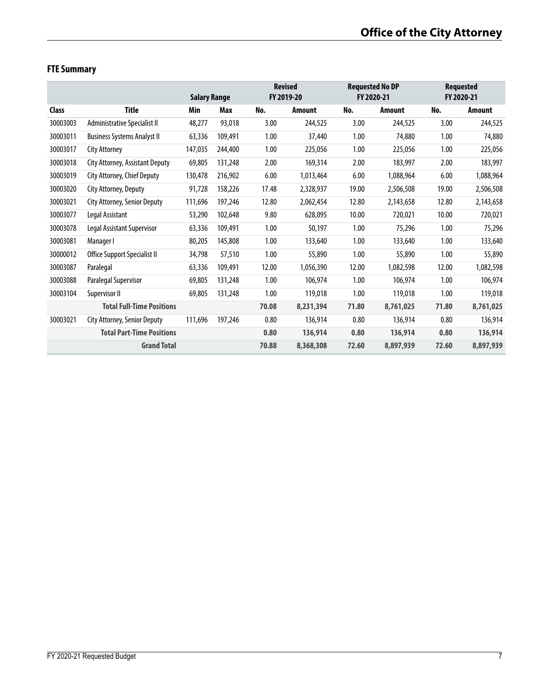# **FTE Summary**

|              |                                     | <b>Salary Range</b> | <b>Revised</b><br>FY 2019-20 |       |               | <b>Requested No DP</b><br>FY 2020-21 |               | <b>Requested</b><br>FY 2020-21 |               |
|--------------|-------------------------------------|---------------------|------------------------------|-------|---------------|--------------------------------------|---------------|--------------------------------|---------------|
| <b>Class</b> | <b>Title</b>                        | Min                 | Max                          | No.   | <b>Amount</b> | No.                                  | <b>Amount</b> | No.                            | <b>Amount</b> |
| 30003003     | Administrative Specialist II        | 48,277              | 93,018                       | 3.00  | 244,525       | 3.00                                 | 244,525       | 3.00                           | 244,525       |
| 30003011     | <b>Business Systems Analyst II</b>  | 63,336              | 109,491                      | 1.00  | 37,440        | 1.00                                 | 74,880        | 1.00                           | 74,880        |
| 30003017     | City Attorney                       | 147,035             | 244,400                      | 1.00  | 225,056       | 1.00                                 | 225,056       | 1.00                           | 225,056       |
| 30003018     | City Attorney, Assistant Deputy     | 69,805              | 131,248                      | 2.00  | 169,314       | 2.00                                 | 183,997       | 2.00                           | 183,997       |
| 30003019     | <b>City Attorney, Chief Deputy</b>  | 130,478             | 216,902                      | 6.00  | 1,013,464     | 6.00                                 | 1,088,964     | 6.00                           | 1,088,964     |
| 30003020     | City Attorney, Deputy               | 91,728              | 158,226                      | 17.48 | 2,328,937     | 19.00                                | 2,506,508     | 19.00                          | 2,506,508     |
| 30003021     | <b>City Attorney, Senior Deputy</b> | 111,696             | 197,246                      | 12.80 | 2,062,454     | 12.80                                | 2,143,658     | 12.80                          | 2,143,658     |
| 30003077     | Legal Assistant                     | 53,290              | 102,648                      | 9.80  | 628,095       | 10.00                                | 720,021       | 10.00                          | 720,021       |
| 30003078     | Legal Assistant Supervisor          | 63,336              | 109,491                      | 1.00  | 50,197        | 1.00                                 | 75,296        | 1.00                           | 75,296        |
| 30003081     | Manager I                           | 80,205              | 145,808                      | 1.00  | 133,640       | 1.00                                 | 133,640       | 1.00                           | 133,640       |
| 30000012     | <b>Office Support Specialist II</b> | 34,798              | 57,510                       | 1.00  | 55,890        | 1.00                                 | 55,890        | 1.00                           | 55,890        |
| 30003087     | Paralegal                           | 63,336              | 109,491                      | 12.00 | 1,056,390     | 12.00                                | 1,082,598     | 12.00                          | 1,082,598     |
| 30003088     | Paralegal Supervisor                | 69,805              | 131,248                      | 1.00  | 106,974       | 1.00                                 | 106,974       | 1.00                           | 106,974       |
| 30003104     | Supervisor II                       | 69,805              | 131,248                      | 1.00  | 119,018       | 1.00                                 | 119,018       | 1.00                           | 119,018       |
|              | <b>Total Full-Time Positions</b>    |                     |                              | 70.08 | 8,231,394     | 71.80                                | 8,761,025     | 71.80                          | 8,761,025     |
| 30003021     | <b>City Attorney, Senior Deputy</b> | 111,696             | 197,246                      | 0.80  | 136,914       | 0.80                                 | 136,914       | 0.80                           | 136,914       |
|              | <b>Total Part-Time Positions</b>    |                     |                              | 0.80  | 136,914       | 0.80                                 | 136,914       | 0.80                           | 136,914       |
|              | <b>Grand Total</b>                  |                     |                              | 70.88 | 8,368,308     | 72.60                                | 8,897,939     | 72.60                          | 8,897,939     |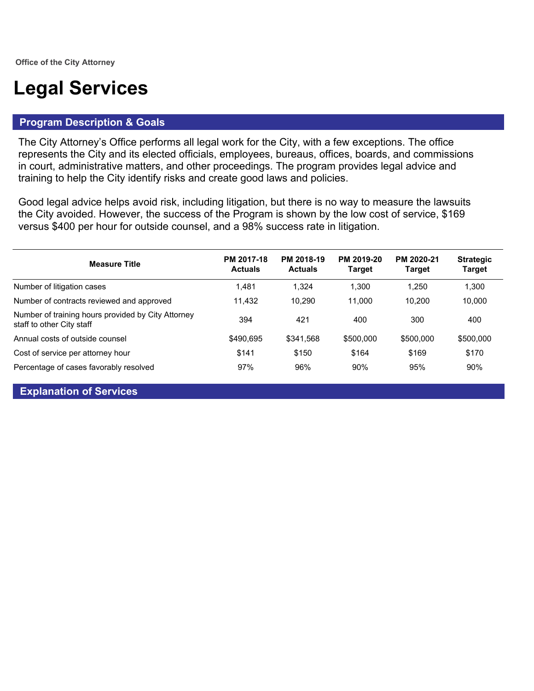# **Legal Services**

### **Program Description & Goals**

The City Attorney's Office performs all legal work for the City, with a few exceptions. The office represents the City and its elected officials, employees, bureaus, offices, boards, and commissions in court, administrative matters, and other proceedings. The program provides legal advice and training to help the City identify risks and create good laws and policies.

Good legal advice helps avoid risk, including litigation, but there is no way to measure the lawsuits the City avoided. However, the success of the Program is shown by the low cost of service, \$169 versus \$400 per hour for outside counsel, and a 98% success rate in litigation.

| <b>Measure Title</b>                                                            | PM 2017-18<br><b>Actuals</b> | PM 2018-19<br><b>Actuals</b> | PM 2019-20<br>Target | PM 2020-21<br><b>Target</b> | <b>Strategic</b><br>Target |
|---------------------------------------------------------------------------------|------------------------------|------------------------------|----------------------|-----------------------------|----------------------------|
| Number of litigation cases                                                      | 1.481                        | 1.324                        | 1.300                | 1.250                       | 1.300                      |
| Number of contracts reviewed and approved                                       | 11.432                       | 10.290                       | 11.000               | 10.200                      | 10.000                     |
| Number of training hours provided by City Attorney<br>staff to other City staff | 394                          | 421                          | 400                  | 300                         | 400                        |
| Annual costs of outside counsel                                                 | \$490.695                    | \$341,568                    | \$500,000            | \$500,000                   | \$500,000                  |
| Cost of service per attorney hour                                               | \$141                        | \$150                        | \$164                | \$169                       | \$170                      |
| Percentage of cases favorably resolved                                          | 97%                          | 96%                          | 90%                  | 95%                         | 90%                        |

### **Explanation of Services**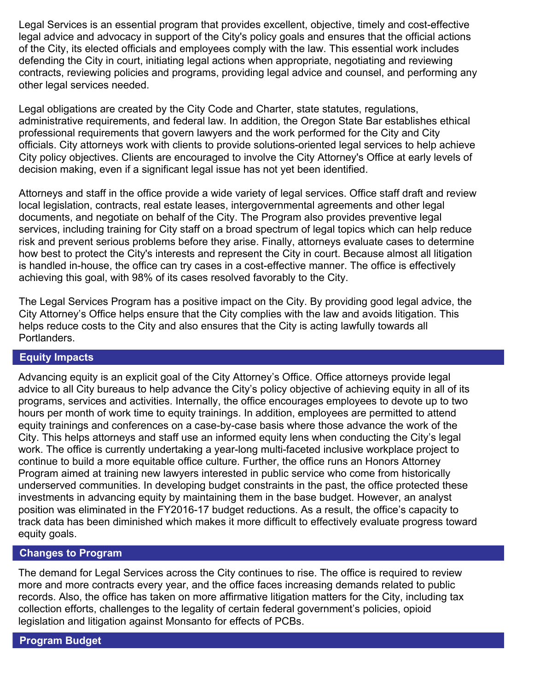Legal Services is an essential program that provides excellent, objective, timely and cost-effective legal advice and advocacy in support of the City's policy goals and ensures that the official actions of the City, its elected officials and employees comply with the law. This essential work includes defending the City in court, initiating legal actions when appropriate, negotiating and reviewing contracts, reviewing policies and programs, providing legal advice and counsel, and performing any other legal services needed.

Legal obligations are created by the City Code and Charter, state statutes, regulations, administrative requirements, and federal law. In addition, the Oregon State Bar establishes ethical professional requirements that govern lawyers and the work performed for the City and City officials. City attorneys work with clients to provide solutions-oriented legal services to help achieve City policy objectives. Clients are encouraged to involve the City Attorney's Office at early levels of decision making, even if a significant legal issue has not yet been identified.

Attorneys and staff in the office provide a wide variety of legal services. Office staff draft and review local legislation, contracts, real estate leases, intergovernmental agreements and other legal documents, and negotiate on behalf of the City. The Program also provides preventive legal services, including training for City staff on a broad spectrum of legal topics which can help reduce risk and prevent serious problems before they arise. Finally, attorneys evaluate cases to determine how best to protect the City's interests and represent the City in court. Because almost all litigation is handled in-house, the office can try cases in a cost-effective manner. The office is effectively achieving this goal, with 98% of its cases resolved favorably to the City.

The Legal Services Program has a positive impact on the City. By providing good legal advice, the City Attorney's Office helps ensure that the City complies with the law and avoids litigation. This helps reduce costs to the City and also ensures that the City is acting lawfully towards all Portlanders.

### **Equity Impacts**

Advancing equity is an explicit goal of the City Attorney's Office. Office attorneys provide legal advice to all City bureaus to help advance the City's policy objective of achieving equity in all of its programs, services and activities. Internally, the office encourages employees to devote up to two hours per month of work time to equity trainings. In addition, employees are permitted to attend equity trainings and conferences on a case-by-case basis where those advance the work of the City. This helps attorneys and staff use an informed equity lens when conducting the City's legal work. The office is currently undertaking a year-long multi-faceted inclusive workplace project to continue to build a more equitable office culture. Further, the office runs an Honors Attorney Program aimed at training new lawyers interested in public service who come from historically underserved communities. In developing budget constraints in the past, the office protected these investments in advancing equity by maintaining them in the base budget. However, an analyst position was eliminated in the FY2016-17 budget reductions. As a result, the office's capacity to track data has been diminished which makes it more difficult to effectively evaluate progress toward equity goals.

### **Changes to Program**

The demand for Legal Services across the City continues to rise. The office is required to review more and more contracts every year, and the office faces increasing demands related to public records. Also, the office has taken on more affirmative litigation matters for the City, including tax collection efforts, challenges to the legality of certain federal government's policies, opioid legislation and litigation against Monsanto for effects of PCBs.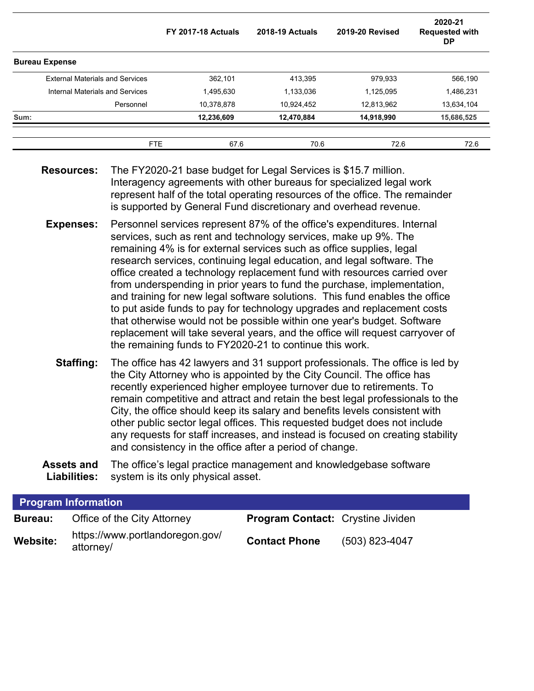|                                        | <b>FY 2017-18 Actuals</b> | <b>2018-19 Actuals</b> | <b>2019-20 Revised</b> | 2020-21<br><b>Requested with</b><br><b>DP</b> |
|----------------------------------------|---------------------------|------------------------|------------------------|-----------------------------------------------|
| <b>Bureau Expense</b>                  |                           |                        |                        |                                               |
| <b>External Materials and Services</b> | 362.101                   | 413,395                | 979,933                | 566.190                                       |
| Internal Materials and Services        | 1,495,630                 | 1,133,036              | 1,125,095              | 1,486,231                                     |
| Personnel                              | 10,378,878                | 10,924,452             | 12,813,962             | 13,634,104                                    |
| Sum:                                   | 12,236,609                | 12,470,884             | 14,918,990             | 15,686,525                                    |
|                                        |                           |                        |                        |                                               |
|                                        | <b>FTE</b><br>67.6        | 70.6                   | 72.6                   | 72.6                                          |

- **Resources:** The FY2020-21 base budget for Legal Services is \$15.7 million. Interagency agreements with other bureaus for specialized legal work represent half of the total operating resources of the office. The remainder is supported by General Fund discretionary and overhead revenue.
	- **Expenses:** Personnel services represent 87% of the office's expenditures. Internal services, such as rent and technology services, make up 9%. The remaining 4% is for external services such as office supplies, legal research services, continuing legal education, and legal software. The office created a technology replacement fund with resources carried over from underspending in prior years to fund the purchase, implementation, and training for new legal software solutions. This fund enables the office to put aside funds to pay for technology upgrades and replacement costs that otherwise would not be possible within one year's budget. Software replacement will take several years, and the office will request carryover of the remaining funds to FY2020-21 to continue this work.
		- **Staffing:** The office has 42 lawyers and 31 support professionals. The office is led by the City Attorney who is appointed by the City Council. The office has recently experienced higher employee turnover due to retirements. To remain competitive and attract and retain the best legal professionals to the City, the office should keep its salary and benefits levels consistent with other public sector legal offices. This requested budget does not include any requests for staff increases, and instead is focused on creating stability and consistency in the office after a period of change.

**Assets and Liabilities:** The office's legal practice management and knowledgebase software system is its only physical asset.

| <b>Program Information</b> |                                              |                                          |                  |  |  |  |  |  |  |
|----------------------------|----------------------------------------------|------------------------------------------|------------------|--|--|--|--|--|--|
| <b>Bureau:</b>             | Office of the City Attorney                  | <b>Program Contact:</b> Crystine Jividen |                  |  |  |  |  |  |  |
| Website:                   | https://www.portlandoregon.gov/<br>attorney/ | <b>Contact Phone</b>                     | $(503)$ 823-4047 |  |  |  |  |  |  |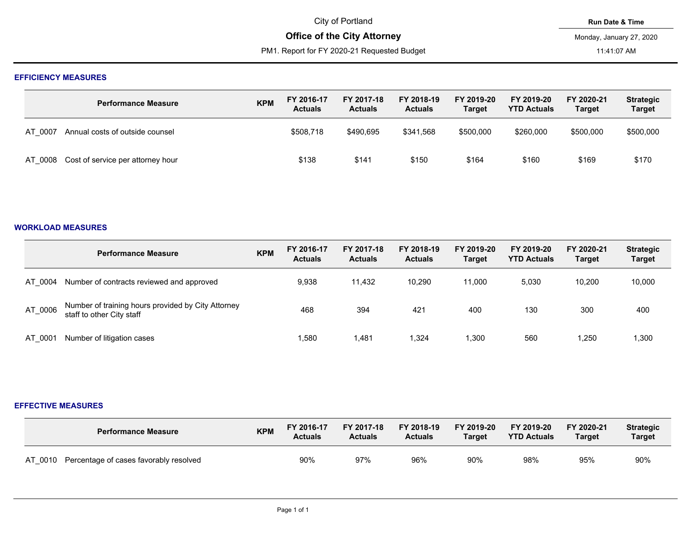### **Office of the City Attorney Monday, January 27, 2020**

PM1. Report for FY 2020-21 Requested Budget 11:41:07 AM

#### **EFFICIENCY MEASURES**

| <b>Performance Measure</b>                   | <b>KPM</b> | FY 2016-17<br><b>Actuals</b> | FY 2017-18<br><b>Actuals</b> | FY 2018-19<br><b>Actuals</b> | FY 2019-20<br><b>Target</b> | FY 2019-20<br><b>YTD Actuals</b> | FY 2020-21<br><b>Target</b> | <b>Strategic</b><br><b>Target</b> |
|----------------------------------------------|------------|------------------------------|------------------------------|------------------------------|-----------------------------|----------------------------------|-----------------------------|-----------------------------------|
| AT 0007<br>Annual costs of outside counsel   |            | \$508,718                    | \$490.695                    | \$341.568                    | \$500,000                   | \$260,000                        | \$500,000                   | \$500,000                         |
| Cost of service per attorney hour<br>AT 0008 |            | \$138                        | \$141                        | \$150                        | \$164                       | \$160                            | \$169                       | \$170                             |

#### **WORKLOAD MEASURES**

|         | <b>Performance Measure</b>                                                      | <b>KPM</b> | FY 2016-17<br><b>Actuals</b> | FY 2017-18<br><b>Actuals</b> | FY 2018-19<br><b>Actuals</b> | FY 2019-20<br>Target | FY 2019-20<br><b>YTD Actuals</b> | FY 2020-21<br><b>Target</b> | <b>Strategic</b><br><b>Target</b> |
|---------|---------------------------------------------------------------------------------|------------|------------------------------|------------------------------|------------------------------|----------------------|----------------------------------|-----------------------------|-----------------------------------|
| AT 0004 | Number of contracts reviewed and approved                                       |            | 9,938                        | 11.432                       | 10.290                       | 11.000               | 5,030                            | 10,200                      | 10,000                            |
| AT_0006 | Number of training hours provided by City Attorney<br>staff to other City staff |            | 468                          | 394                          | 421                          | 400                  | 130                              | 300                         | 400                               |
| AT 0001 | Number of litigation cases                                                      |            | 580. ا                       | 481. ا                       | 1,324                        | 1,300                | 560                              | 1,250                       | ,300                              |

#### **EFFECTIVE MEASURES**

| <b>Performance Measure</b>                     | <b>KPM</b> | FY 2016-17<br><b>Actuals</b> | FY 2017-18<br><b>Actuals</b> | FY 2018-19<br><b>Actuals</b> | FY 2019-20<br><b>Target</b> | FY 2019-20<br><b>YTD Actuals</b> | FY 2020-21<br><b>Target</b> | <b>Strategic</b><br><b>Target</b> |
|------------------------------------------------|------------|------------------------------|------------------------------|------------------------------|-----------------------------|----------------------------------|-----------------------------|-----------------------------------|
| AT 0010 Percentage of cases favorably resolved |            | 90%                          | 97%                          | 96%                          | 90%                         | 98%                              | 95%                         | 90%                               |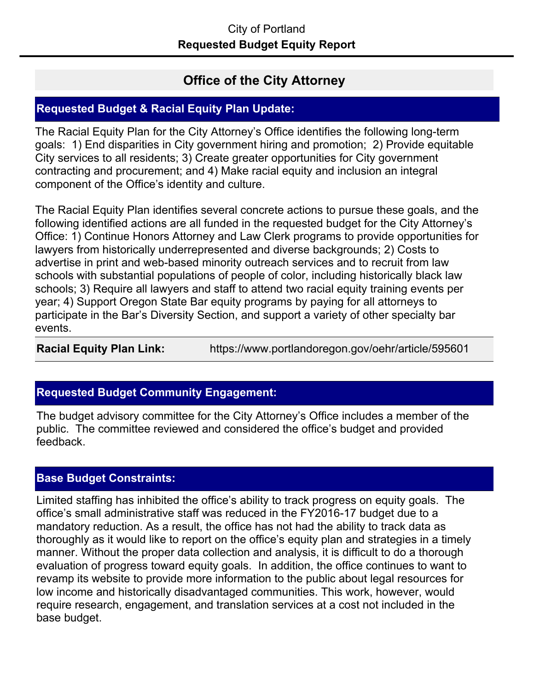# **Office of the City Attorney**

# **Requested Budget & Racial Equity Plan Update:**

The Racial Equity Plan for the City Attorney's Office identifies the following long-term goals: 1) End disparities in City government hiring and promotion; 2) Provide equitable City services to all residents; 3) Create greater opportunities for City government contracting and procurement; and 4) Make racial equity and inclusion an integral component of the Office's identity and culture.

The Racial Equity Plan identifies several concrete actions to pursue these goals, and the following identified actions are all funded in the requested budget for the City Attorney's Office: 1) Continue Honors Attorney and Law Clerk programs to provide opportunities for lawyers from historically underrepresented and diverse backgrounds; 2) Costs to advertise in print and web-based minority outreach services and to recruit from law schools with substantial populations of people of color, including historically black law schools; 3) Require all lawyers and staff to attend two racial equity training events per year; 4) Support Oregon State Bar equity programs by paying for all attorneys to participate in the Bar's Diversity Section, and support a variety of other specialty bar events.

**Racial Equity Plan Link:** https://www.portlandoregon.gov/oehr/article/595601

# **Requested Budget Community Engagement:**

The budget advisory committee for the City Attorney's Office includes a member of the public. The committee reviewed and considered the office's budget and provided feedback.

# **Base Budget Constraints:**

Limited staffing has inhibited the office's ability to track progress on equity goals. The office's small administrative staff was reduced in the FY2016-17 budget due to a mandatory reduction. As a result, the office has not had the ability to track data as thoroughly as it would like to report on the office's equity plan and strategies in a timely manner. Without the proper data collection and analysis, it is difficult to do a thorough evaluation of progress toward equity goals. In addition, the office continues to want to revamp its website to provide more information to the public about legal resources for low income and historically disadvantaged communities. This work, however, would require research, engagement, and translation services at a cost not included in the base budget.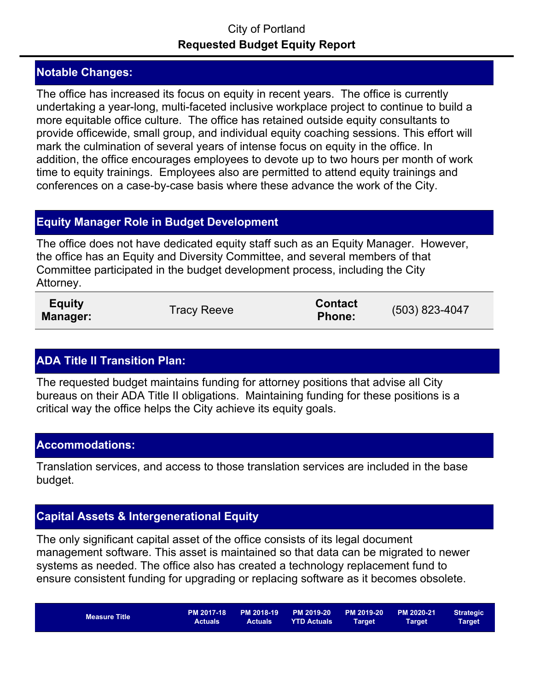# City of Portland **Requested Budget Equity Report**

# **Notable Changes:**

The office has increased its focus on equity in recent years. The office is currently undertaking a year-long, multi-faceted inclusive workplace project to continue to build a more equitable office culture. The office has retained outside equity consultants to provide officewide, small group, and individual equity coaching sessions. This effort will mark the culmination of several years of intense focus on equity in the office. In addition, the office encourages employees to devote up to two hours per month of work time to equity trainings. Employees also are permitted to attend equity trainings and conferences on a case-by-case basis where these advance the work of the City.

### **Equity Manager Role in Budget Development**

The office does not have dedicated equity staff such as an Equity Manager. However, the office has an Equity and Diversity Committee, and several members of that Committee participated in the budget development process, including the City Attorney.

| <b>Equity</b><br><b>Manager:</b> | <b>Tracy Reeve</b> | <b>Contact</b><br><b>Phone:</b> | $(503)$ 823-4047 |  |
|----------------------------------|--------------------|---------------------------------|------------------|--|
|----------------------------------|--------------------|---------------------------------|------------------|--|

# **ADA Title II Transition Plan:**

The requested budget maintains funding for attorney positions that advise all City bureaus on their ADA Title II obligations. Maintaining funding for these positions is a critical way the office helps the City achieve its equity goals.

### **Accommodations:**

Translation services, and access to those translation services are included in the base budget.

# **Capital Assets & Intergenerational Equity**

The only significant capital asset of the office consists of its legal document management software. This asset is maintained so that data can be migrated to newer systems as needed. The office also has created a technology replacement fund to ensure consistent funding for upgrading or replacing software as it becomes obsolete.

| <b>Measure Title</b> | PM 2017-18<br><b>Actuals</b> | <b>Actuals</b> | PM 2018-19 PM 2019-20 PM 2019-20 PM 2020-21<br><b>YTD Actuals</b> | <b>Target</b> | Target | <b>Strategic</b><br>Target |
|----------------------|------------------------------|----------------|-------------------------------------------------------------------|---------------|--------|----------------------------|
|                      |                              |                |                                                                   |               |        |                            |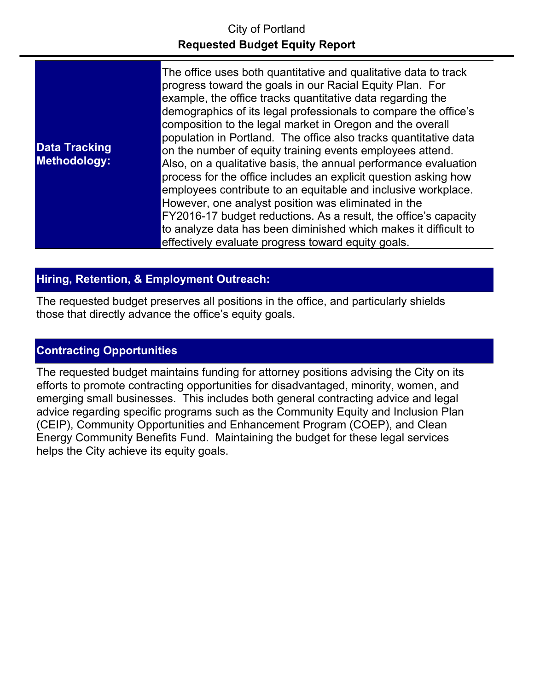# City of Portland **Requested Budget Equity Report**

| The office uses both quantitative and qualitative data to track<br>progress toward the goals in our Racial Equity Plan. For<br>example, the office tracks quantitative data regarding the<br>demographics of its legal professionals to compare the office's<br>composition to the legal market in Oregon and the overall<br>population in Portland. The office also tracks quantitative data<br><b>Data Tracking</b><br>on the number of equity training events employees attend.<br><b>Methodology:</b><br>Also, on a qualitative basis, the annual performance evaluation<br>process for the office includes an explicit question asking how<br>employees contribute to an equitable and inclusive workplace.<br>However, one analyst position was eliminated in the<br>FY2016-17 budget reductions. As a result, the office's capacity<br>to analyze data has been diminished which makes it difficult to<br>effectively evaluate progress toward equity goals. |  |
|---------------------------------------------------------------------------------------------------------------------------------------------------------------------------------------------------------------------------------------------------------------------------------------------------------------------------------------------------------------------------------------------------------------------------------------------------------------------------------------------------------------------------------------------------------------------------------------------------------------------------------------------------------------------------------------------------------------------------------------------------------------------------------------------------------------------------------------------------------------------------------------------------------------------------------------------------------------------|--|
|---------------------------------------------------------------------------------------------------------------------------------------------------------------------------------------------------------------------------------------------------------------------------------------------------------------------------------------------------------------------------------------------------------------------------------------------------------------------------------------------------------------------------------------------------------------------------------------------------------------------------------------------------------------------------------------------------------------------------------------------------------------------------------------------------------------------------------------------------------------------------------------------------------------------------------------------------------------------|--|

# **Hiring, Retention, & Employment Outreach:**

The requested budget preserves all positions in the office, and particularly shields those that directly advance the office's equity goals.

# **Contracting Opportunities**

The requested budget maintains funding for attorney positions advising the City on its efforts to promote contracting opportunities for disadvantaged, minority, women, and emerging small businesses. This includes both general contracting advice and legal advice regarding specific programs such as the Community Equity and Inclusion Plan (CEIP), Community Opportunities and Enhancement Program (COEP), and Clean Energy Community Benefits Fund. Maintaining the budget for these legal services helps the City achieve its equity goals.